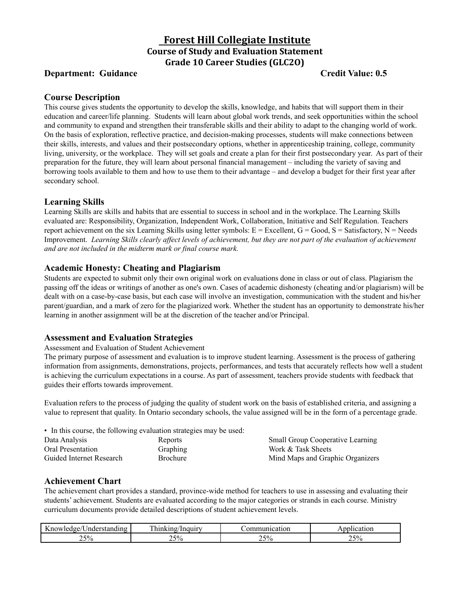# **Forest Hill Collegiate Institute Course of Study and Evaluation Statement Grade 10 Career Studies (GLC2O)**

## **Department:** Guidance **Credit Value: 0.5**

#### **Course Description**

This course gives students the opportunity to develop the skills, knowledge, and habits that will support them in their education and career/life planning. Students will learn about global work trends, and seek opportunities within the school and community to expand and strengthen their transferable skills and their ability to adapt to the changing world of work. On the basis of exploration, reflective practice, and decision-making processes, students will make connections between their skills, interests, and values and their postsecondary options, whether in apprenticeship training, college, community living, university, or the workplace. They will set goals and create a plan for their first postsecondary year. As part of their preparation for the future, they will learn about personal financial management – including the variety of saving and borrowing tools available to them and how to use them to their advantage – and develop a budget for their first year after secondary school.

#### **Learning Skills**

Learning Skills are skills and habits that are essential to success in school and in the workplace. The Learning Skills evaluated are: Responsibility, Organization, Independent Work, Collaboration, Initiative and Self Regulation. Teachers report achievement on the six Learning Skills using letter symbols:  $E =$  Excellent,  $G =$  Good,  $S =$  Satisfactory,  $N =$  Needs Improvement. Learning Skills clearly affect levels of achievement, but they are not part of the evaluation of achievement *and are not included in the midterm mark or final course mark.*

### **Academic Honesty: Cheating and Plagiarism**

Students are expected to submit only their own original work on evaluations done in class or out of class. Plagiarism the passing off the ideas or writings of another as one's own. Cases of academic dishonesty (cheating and/or plagiarism) will be dealt with on a case-by-case basis, but each case will involve an investigation, communication with the student and his/her parent/guardian, and a mark of zero for the plagiarized work. Whether the student has an opportunity to demonstrate his/her learning in another assignment will be at the discretion of the teacher and/or Principal.

#### **Assessment and Evaluation Strategies**

Assessment and Evaluation of Student Achievement

The primary purpose of assessment and evaluation is to improve student learning. Assessment is the process of gathering information from assignments, demonstrations, projects, performances, and tests that accurately reflects how well a student is achieving the curriculum expectations in a course. As part of assessment, teachers provide students with feedback that guides their efforts towards improvement.

Evaluation refers to the process of judging the quality of student work on the basis of established criteria, and assigning a value to represent that quality. In Ontario secondary schools, the value assigned will be in the form of a percentage grade.

• In this course, the following evaluation strategies may be used:

| Data Analysis            | Reports         | <b>Small Group Cooperative Learning</b> |
|--------------------------|-----------------|-----------------------------------------|
| Oral Presentation        | Graphing        | Work & Task Sheets                      |
| Guided Internet Research | <b>Brochure</b> | Mind Maps and Graphic Organizers        |

#### **Achievement Chart**

The achievement chart provides a standard, province-wide method for teachers to use in assessing and evaluating their students' achievement. Students are evaluated according to the major categories or strands in each course. Ministry curriculum documents provide detailed descriptions of student achievement levels.

| $\mathbf{r}$<br>$\sim$<br>$\sim$<br>.nderstar<br>doe/<br>11 U | $\sim$<br>. Inquiry<br>''''<br>нк | nunication<br>ы. | licatior                 |
|---------------------------------------------------------------|-----------------------------------|------------------|--------------------------|
| ) 50                                                          | $\sqrt{50}$                       | 25%              | $\sim$ $\sim$ $\sim$     |
| ∕Ω                                                            | 70                                |                  | ∕ ()                     |
| $\overline{\phantom{a}}$                                      | $\overline{\phantom{0}}$          |                  | $\overline{\phantom{a}}$ |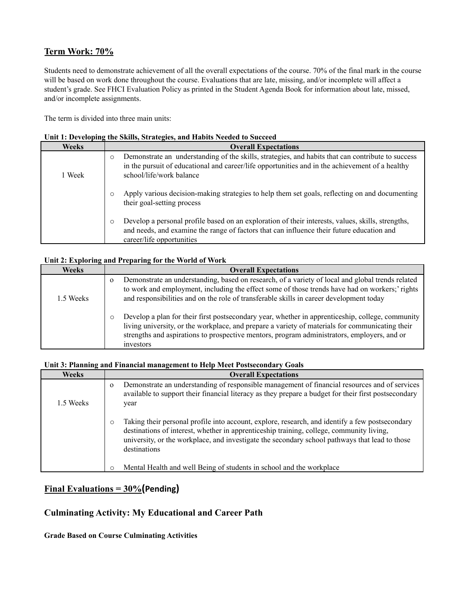## **Term Work: 70%**

Students need to demonstrate achievement of all the overall expectations of the course. 70% of the final mark in the course will be based on work done throughout the course. Evaluations that are late, missing, and/or incomplete will affect a student's grade. See FHCI Evaluation Policy as printed in the Student Agenda Book for information about late, missed, and/or incomplete assignments.

The term is divided into three main units:

|  |  | Unit 1: Developing the Skills, Strategies, and Habits Needed to Succeed |
|--|--|-------------------------------------------------------------------------|
|  |  |                                                                         |

| Weeks  | <b>Overall Expectations</b>                                                                                                                                                                                                                 |
|--------|---------------------------------------------------------------------------------------------------------------------------------------------------------------------------------------------------------------------------------------------|
| 1 Week | Demonstrate an understanding of the skills, strategies, and habits that can contribute to success<br>$\circ$<br>in the pursuit of educational and career/life opportunities and in the achievement of a healthy<br>school/life/work balance |
|        | Apply various decision-making strategies to help them set goals, reflecting on and documenting<br>their goal-setting process                                                                                                                |
|        | Develop a personal profile based on an exploration of their interests, values, skills, strengths,<br>and needs, and examine the range of factors that can influence their future education and<br>career/life opportunities                 |

#### **Unit 2: Exploring and Preparing for the World of Work**

| <b>Weeks</b> | <b>Overall Expectations</b>                                                                                                                                                                                                                                                                                     |
|--------------|-----------------------------------------------------------------------------------------------------------------------------------------------------------------------------------------------------------------------------------------------------------------------------------------------------------------|
| 1.5 Weeks    | Demonstrate an understanding, based on research, of a variety of local and global trends related<br>$\Omega$<br>to work and employment, including the effect some of those trends have had on workers;' rights<br>and responsibilities and on the role of transferable skills in career development today       |
|              | Develop a plan for their first postsecondary year, whether in apprenticeship, college, community<br>living university, or the workplace, and prepare a variety of materials for communicating their<br>strengths and aspirations to prospective mentors, program administrators, employers, and or<br>investors |

#### **Unit 3: Planning and Financial management to Help Meet Postsecondary Goals**

| Weeks     | <b>Overall Expectations</b>                                                                                                                                                                                                                                                                                              |
|-----------|--------------------------------------------------------------------------------------------------------------------------------------------------------------------------------------------------------------------------------------------------------------------------------------------------------------------------|
| 1.5 Weeks | Demonstrate an understanding of responsible management of financial resources and of services<br>$\Omega$<br>available to support their financial literacy as they prepare a budget for their first postsecondary<br>year                                                                                                |
|           | Taking their personal profile into account, explore, research, and identify a few postsecondary<br>$\circ$<br>destinations of interest, whether in apprenticeship training, college, community living,<br>university, or the workplace, and investigate the secondary school pathways that lead to those<br>destinations |
|           | Mental Health and well Being of students in school and the workplace                                                                                                                                                                                                                                                     |

# **Final Evaluations = 30%(Pending)**

# **Culminating Activity: My Educational and Career Path**

**Grade Based on Course Culminating Activities**